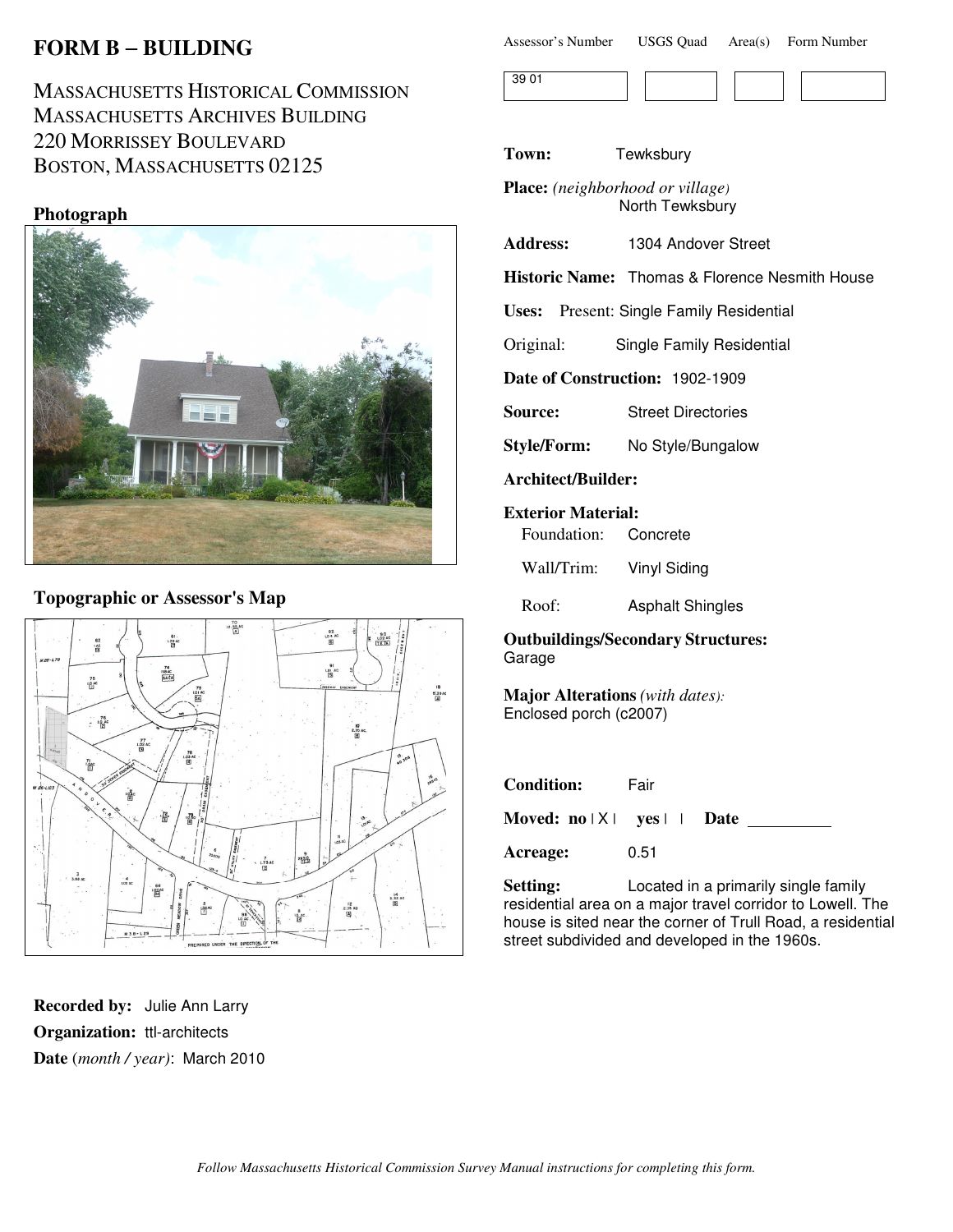# **FORM B** − **BUILDING**

MASSACHUSETTS HISTORICAL COMMISSION MASSACHUSETTS ARCHIVES BUILDING 220 MORRISSEY BOULEVARD BOSTON, MASSACHUSETTS 02125

### **Photograph**



## **Topographic or Assessor's Map**



**Recorded by:** Julie Ann Larry **Organization:** ttl-architects **Date** (*month / year)*: March 2010

| <b>USGS Quad</b><br>Assessor's Number |  | Area(s) Form Number |
|---------------------------------------|--|---------------------|
|---------------------------------------|--|---------------------|



**Town:** Tewksbury

**Place:** *(neighborhood or village)* North Tewksbury

**Address:** 1304 Andover Street

**Historic Name:** Thomas & Florence Nesmith House

**Uses:** Present: Single Family Residential

Original: Single Family Residential

**Date of Construction:** 1902-1909

**Source:** Street Directories

**Style/Form:** No Style/Bungalow

**Architect/Builder:**

**Exterior Material:**

Foundation: Concrete

Wall/Trim: Vinyl Siding

Roof: Asphalt Shingles

**Outbuildings/Secondary Structures:** Garage

**Major Alterations** *(with dates):* Enclosed porch (c2007)

| <b>Condition:</b>                                     | Fair |  |
|-------------------------------------------------------|------|--|
| Moved: $no \mid X \mid \text{yes} \mid \text{.}$ Date |      |  |
| Acreage:                                              | 0.51 |  |

**Setting:** Located in a primarily single family residential area on a major travel corridor to Lowell. The house is sited near the corner of Trull Road, a residential street subdivided and developed in the 1960s.